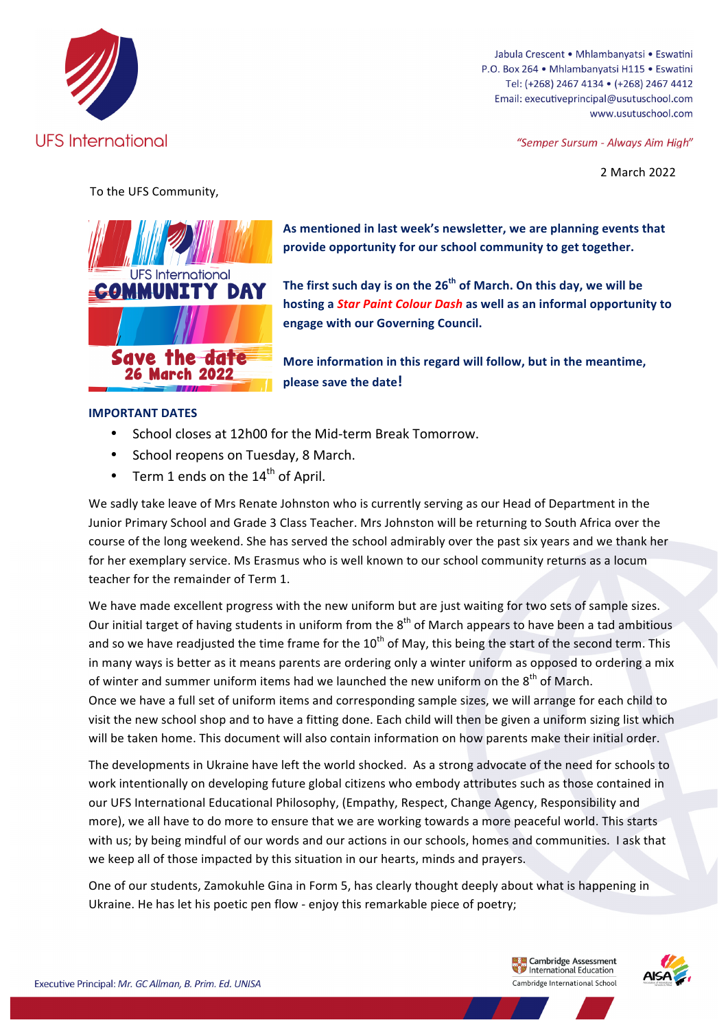

Jabula Crescent . Mhlambanyatsi . Eswatini P.O. Box 264 · Mhlambanyatsi H115 · Eswatini Tel: (+268) 2467 4134 · (+268) 2467 4412 Email: executiveprincipal@usutuschool.com www.usutuschool.com

"Semper Sursum - Always Aim High"

2 March 2022

To the UFS Community,



As mentioned in last week's newsletter, we are planning events that provide opportunity for our school community to get together.

The first such day is on the 26<sup>th</sup> of March. On this day, we will be hosting a *Star Paint Colour Dash* as well as an informal opportunity to **engage with our Governing Council.** 

More information in this regard will follow, but in the meantime, **please save the date!** 

## **IMPORTANT DATES**

- School closes at 12h00 for the Mid-term Break Tomorrow.
- School reopens on Tuesday, 8 March.
- Term 1 ends on the  $14<sup>th</sup>$  of April.

We sadly take leave of Mrs Renate Johnston who is currently serving as our Head of Department in the Junior Primary School and Grade 3 Class Teacher. Mrs Johnston will be returning to South Africa over the course of the long weekend. She has served the school admirably over the past six years and we thank her for her exemplary service. Ms Erasmus who is well known to our school community returns as a locum teacher for the remainder of Term 1.

We have made excellent progress with the new uniform but are just waiting for two sets of sample sizes. Our initial target of having students in uniform from the  $8<sup>th</sup>$  of March appears to have been a tad ambitious and so we have readjusted the time frame for the  $10^{th}$  of May, this being the start of the second term. This in many ways is better as it means parents are ordering only a winter uniform as opposed to ordering a mix of winter and summer uniform items had we launched the new uniform on the  $8<sup>th</sup>$  of March. Once we have a full set of uniform items and corresponding sample sizes, we will arrange for each child to visit the new school shop and to have a fitting done. Each child will then be given a uniform sizing list which will be taken home. This document will also contain information on how parents make their initial order.

The developments in Ukraine have left the world shocked. As a strong advocate of the need for schools to work intentionally on developing future global citizens who embody attributes such as those contained in our UFS International Educational Philosophy, (Empathy, Respect, Change Agency, Responsibility and more), we all have to do more to ensure that we are working towards a more peaceful world. This starts with us; by being mindful of our words and our actions in our schools, homes and communities. I ask that we keep all of those impacted by this situation in our hearts, minds and prayers.

One of our students, Zamokuhle Gina in Form 5, has clearly thought deeply about what is happening in Ukraine. He has let his poetic pen flow - enjoy this remarkable piece of poetry;

> **Ex. Ex. Cambridge Assessment**<br>We International Education Cambridge International School